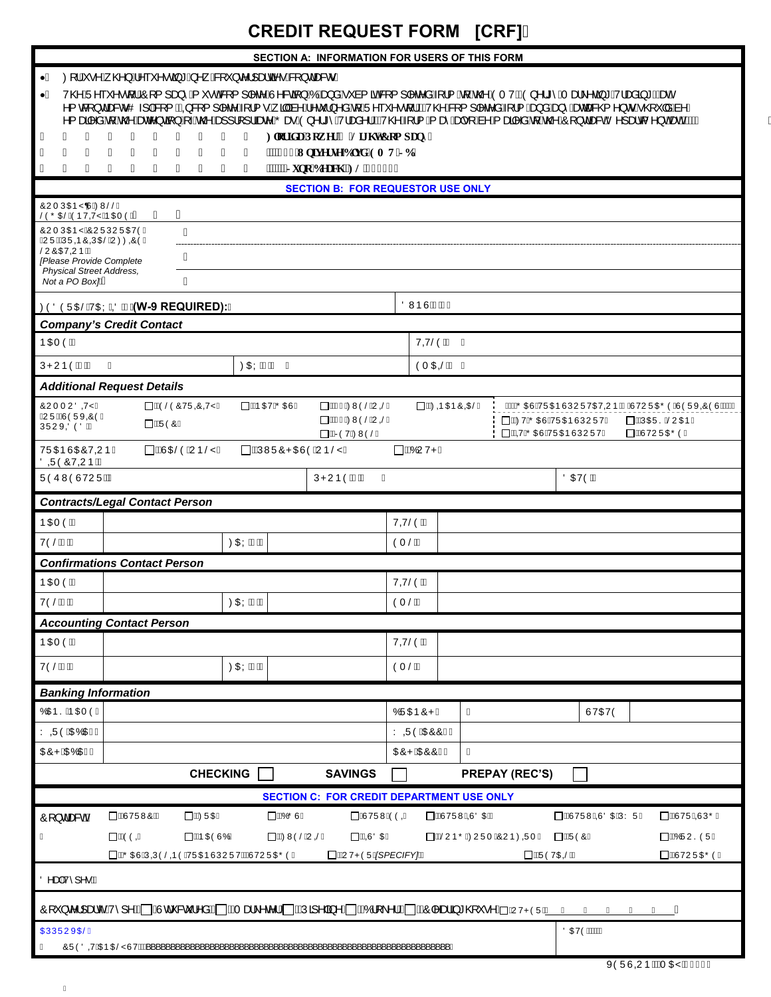## **CREDIT REQUEST FORM [CRF]**

|                                                                                                                                                                                                                                | <b>SECTION A: INFORMATION FOR USERS OF THIS FORM</b>                                                     |  |  |  |
|--------------------------------------------------------------------------------------------------------------------------------------------------------------------------------------------------------------------------------|----------------------------------------------------------------------------------------------------------|--|--|--|
| ∙Á Ø[¦Á∙^Á୍@}Á^˘˘^∙œã"Á^ Á&[˘}c^¦]æka?∙E&[}dæ&o∙Á                                                                                                                                                                              |                                                                                                          |  |  |  |
|                                                                                                                                                                                                                                |                                                                                                          |  |  |  |
| •Á V@AÜ^``^^q{}EÔ[{]æ}^Á`*•o^&{{] ^c^AÛ^&q}AÓÀæg}AÓÀæg}A^`à{ãd&[{] ^c^a^4{}{ Aq{Ac@AOTVACO}^¦*^`ATæ}^q*A/aæg*D&æA<br>^{c&[}dæ&oO} E&[{EAQ&[{] ^c^A{}{•Á}ālka^Á^c`}^a`Aq{AÜ^``^^q{}EAV@^&[{] ^c^a^4{}{{~kaga`Aæg^^azæ&@^}o^A^@` |                                                                                                          |  |  |  |
| ÁÁÁ<br>ÁÁ<br>Hingt If c'Ray gt'( 'Nii j v'Eqo r cp{"<br>Α<br>À<br>A                                                                                                                                                            |                                                                                                          |  |  |  |
| $^{\prime}$<br>11<br>$^{\bullet\bullet}$<br>$\pmb{\cdot}$<br>""922'Wpksgtug'Dnxf / GO VILD"                                                                                                                                    |                                                                                                          |  |  |  |
| $^{\bullet}$<br>,,<br>$^{\bullet}$<br>"""Lwpq'Dgcej .'HN'5562: Á<br>"<br>"<br><br>$\cdots$                                                                                                                                     |                                                                                                          |  |  |  |
| <b>SECTION B: FOR REQUESTOR USE ONLY</b>                                                                                                                                                                                       |                                                                                                          |  |  |  |
| ÔUT ÚŒEY Ù ÁZMŠŠÁ<br>Á<br>ŠÒÕŒŠÁÒÞVQYŸÁÞŒIÒKAA<br>A                                                                                                                                                                            |                                                                                                          |  |  |  |
| ÔUTÚŒPŸÁÔUÜÚUÜŒVÒÁ<br>Á                                                                                                                                                                                                        |                                                                                                          |  |  |  |
| ËU ÜË AJÜ OD ÔOLOGŠÁU ØØ OD ÓA<br>ŠUÔŒVOUÞKÁ<br>Α                                                                                                                                                                              |                                                                                                          |  |  |  |
| [Please Provide Complete<br><b>Physical Street Address,</b>                                                                                                                                                                    |                                                                                                          |  |  |  |
| Á<br>Not a PO Box <sub>IMA</sub>                                                                                                                                                                                               |                                                                                                          |  |  |  |
| ØÒÖÒÜŒŠÁVŒ ÁDAA (W-9 REQUIRED): Á                                                                                                                                                                                              | <b>ÖVVÞÙÁNAÁÁ</b>                                                                                        |  |  |  |
| <b>Company's Credit Contact</b>                                                                                                                                                                                                |                                                                                                          |  |  |  |
| ÞŒTÒKÁ                                                                                                                                                                                                                         | VOVŠÒKÁ Á                                                                                                |  |  |  |
| ØŒÝÁNÁÁÁÁ<br>ÚPUÞÓÁNÁ<br>Á                                                                                                                                                                                                     | ÒT OEŠKÁ Á                                                                                               |  |  |  |
| <b>Additional Request Details</b>                                                                                                                                                                                              |                                                                                                          |  |  |  |
| ΠΑΙ ΘΘΩΘΩΘΩΥ Α΄<br><b>□ Á ÞŒV Á Ö ŒUÁ</b><br>∏ÁÄÑ Á⊘MÒŠÁUGŠÁ<br>ÔUTTUÖQYÄ<br><b>ËUÜËÑÒÜXÔÒÁ</b>                                                                                                                                | □ ÁKØOR O EÞÔ O DEŠÁ<br><b>IIIŐŒJÁ/ÜŒPÙÚUÜVŒ/QJÞÁBÁJVUÜŒŐÒÁJÒÜX@ÒÙÆILÄ</b>                               |  |  |  |
| □ ÁÄAGÁØWÒŠÁU GŠÁ<br>□ŰÜÒÔÁ<br>ÚÜUX@OOKÁ<br><b>□ÁRÒVÁØNÒŠÁ</b>                                                                                                                                                                 | <b>□ ÁKOVÁŐŒÙÁVÜŒÐÙÚUÜVÁ</b><br>ΠΑΑΝΟŒÜSESŠUO ΕÞÁ<br><b>□ ÁQYÁŐ ŒÙÁ/ÜŒÞÙÚU ÜVÁ</b><br><b>□ ÄÛVUÜŒŐÒÁ</b> |  |  |  |
| □ ÁÑOBÓÁUÞŠŸÁ<br>∏ÁÁÚWÜÔPŒÙÒÁUÞŠŸÁ<br><b>⊟ÁKÓUVPÁ</b><br>VÜŒDÜŒÖVOUPÁ<br>ÖQÜÖŐVQUÞKÁ                                                                                                                                           |                                                                                                          |  |  |  |
| ÜÒÛWÒÙVUÜKÄ<br>ÚPUÞÒÁNÁ<br>Á                                                                                                                                                                                                   | ÖŒVÒKÁ                                                                                                   |  |  |  |
| <b>Contracts/Legal Contact Person</b>                                                                                                                                                                                          |                                                                                                          |  |  |  |
| ÞŒIÒKÁ                                                                                                                                                                                                                         | VQYŠÒKÁ                                                                                                  |  |  |  |
| <b>VÒŠÁNÁ</b><br>ØŒÝÂNÁ                                                                                                                                                                                                        | ÒT ŠKÁ                                                                                                   |  |  |  |
| <b>Confirmations Contact Person</b>                                                                                                                                                                                            |                                                                                                          |  |  |  |
| ÞŒTÒKÁ                                                                                                                                                                                                                         | VQYŠÒKÁ                                                                                                  |  |  |  |
| VÒŠÁNÁ<br>ØŒÝÂNÁ                                                                                                                                                                                                               | ÒT ŠKÁ                                                                                                   |  |  |  |
| <b>Accounting Contact Person</b>                                                                                                                                                                                               |                                                                                                          |  |  |  |
| <b>ÞŒTÒKÁ</b>                                                                                                                                                                                                                  | VOYŠÒKÁ                                                                                                  |  |  |  |
| VÒŠÁNÁ<br>ØŒÝÂNÁ                                                                                                                                                                                                               | ÒT ŠKÁ                                                                                                   |  |  |  |
|                                                                                                                                                                                                                                |                                                                                                          |  |  |  |
| <b>Banking Information</b><br>Ó CIĐ SÁP CETÒ Á                                                                                                                                                                                 | ÓÜŒÞÔPÁ<br>Á<br>ÙVŒVÒ                                                                                    |  |  |  |
| Y QÜÒÁQEÓQEÀÁ                                                                                                                                                                                                                  | Y QÜÒÁQEÔÔÀÁ                                                                                             |  |  |  |
| <b>CEÔPÁDEÓCEÀÁ</b>                                                                                                                                                                                                            | Á<br><b>CEÔPÁCEÔÔÀÁ</b>                                                                                  |  |  |  |
| <b>CHECKING</b><br><b>SAVINGS</b>                                                                                                                                                                                              |                                                                                                          |  |  |  |
| <b>PREPAY (REC'S)</b>                                                                                                                                                                                                          |                                                                                                          |  |  |  |
| <b>SECTION C: FOR CREDIT DEPARTMENT USE ONLY</b>                                                                                                                                                                               |                                                                                                          |  |  |  |
| <b>DÁÛVÜWÔKÁ</b><br><b>□ ÁÍØÜŒÁ</b><br><b>□ ÁÍÓŐÙÁ</b><br><b>DÁVÜWÖÖGA</b><br><b>IAUVÜWAQUÖORÁ</b><br>□ ÁÑ VÜW NO O BÓY ÜÁ<br><b>□ ÄÙVÜÁDÚÕÁ</b><br>Ô[} dæ&dA                                                                  |                                                                                                          |  |  |  |
| □ ÁiÒÒQÁ<br>□ Á to OEÒ ÙÓ Á<br><b>□ Á@MÒŠÁU ŠÁ</b><br>□ ANO O DEA<br><b>□ ÁÑ</b> UÞÕËZUÜT ÁÔUÞØOÜT Á<br><b>□ÄÜÒÔÁ</b><br>□ AKÓÜUSÒÜÁ<br>Á                                                                                      |                                                                                                          |  |  |  |
| □ ÁÃŐ ŒÙ ÁÚ QŮ Ô Á VŮ QI D-Ù Ú VU VÁN VU Ü QIỐ Ò Á<br>□ ÁN VPÒÜÁKSPECIFY]KÁ<br><b>DÁÜÓVOEŠÁ</b><br>□ÄÛVUÜŒŐÒÁ                                                                                                                  |                                                                                                          |  |  |  |
| Ö^æÁ/^]^•KÁ                                                                                                                                                                                                                    |                                                                                                          |  |  |  |
| Ô[ˇ}c^¦]æc´Á/^]^kn^]ÂÙdˇ&č¦^âÁkū]ÁTælヘ^c^¦Aū]ÁNĴã^ ã^Aū]ÁKÔ {\^¦Ákū]ÁKÔ ^æŝä *@Ÿ•^ÁūAJvPÒÜ <u>/ÁL</u> Á<br>Á                                                                                                                   |                                                                                                          |  |  |  |
| <b>OEÚÜÜUXOBÁ</b>                                                                                                                                                                                                              | <b>ÖŒVÒKÁÁÁ</b>                                                                                          |  |  |  |
| ÔÜÒÖQYÁDED DÉY ÙVKÁK '                                                                                                                                                                                                         |                                                                                                          |  |  |  |